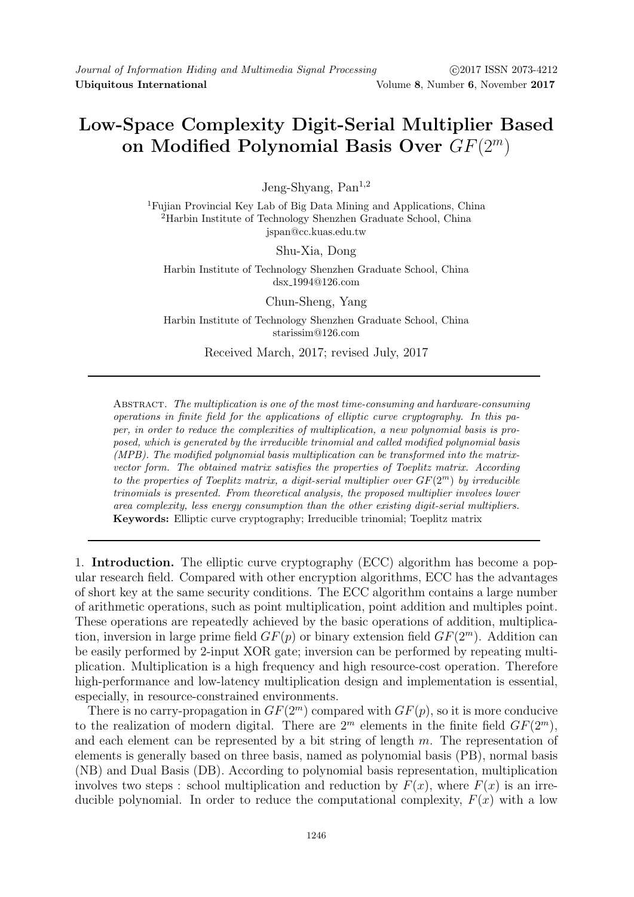## Low-Space Complexity Digit-Serial Multiplier Based on Modified Polynomial Basis Over  $GF(2<sup>m</sup>)$

Jeng-Shyang, Pan<sup>1,2</sup>

<sup>1</sup>Fujian Provincial Key Lab of Big Data Mining and Applications, China <sup>2</sup>Harbin Institute of Technology Shenzhen Graduate School, China jspan@cc.kuas.edu.tw

Shu-Xia, Dong

Harbin Institute of Technology Shenzhen Graduate School, China dsx 1994@126.com

Chun-Sheng, Yang Harbin Institute of Technology Shenzhen Graduate School, China starissim@126.com

Received March, 2017; revised July, 2017

Abstract. The multiplication is one of the most time-consuming and hardware-consuming operations in finite field for the applications of elliptic curve cryptography. In this paper, in order to reduce the complexities of multiplication, a new polynomial basis is proposed, which is generated by the irreducible trinomial and called modified polynomial basis (MPB). The modified polynomial basis multiplication can be transformed into the matrixvector form. The obtained matrix satisfies the properties of Toeplitz matrix. According to the properties of Toeplitz matrix, a digit-serial multiplier over  $GF(2^m)$  by irreducible trinomials is presented. From theoretical analysis, the proposed multiplier involves lower area complexity, less energy consumption than the other existing digit-serial multipliers. Keywords: Elliptic curve cryptography; Irreducible trinomial; Toeplitz matrix

1. Introduction. The elliptic curve cryptography (ECC) algorithm has become a popular research field. Compared with other encryption algorithms, ECC has the advantages of short key at the same security conditions. The ECC algorithm contains a large number of arithmetic operations, such as point multiplication, point addition and multiples point. These operations are repeatedly achieved by the basic operations of addition, multiplication, inversion in large prime field  $GF(p)$  or binary extension field  $GF(2<sup>m</sup>)$ . Addition can be easily performed by 2-input XOR gate; inversion can be performed by repeating multiplication. Multiplication is a high frequency and high resource-cost operation. Therefore high-performance and low-latency multiplication design and implementation is essential, especially, in resource-constrained environments.

There is no carry-propagation in  $GF(2^m)$  compared with  $GF(p)$ , so it is more conducive to the realization of modern digital. There are  $2^m$  elements in the finite field  $GF(2^m)$ , and each element can be represented by a bit string of length  $m$ . The representation of elements is generally based on three basis, named as polynomial basis (PB), normal basis (NB) and Dual Basis (DB). According to polynomial basis representation, multiplication involves two steps : school multiplication and reduction by  $F(x)$ , where  $F(x)$  is an irreducible polynomial. In order to reduce the computational complexity,  $F(x)$  with a low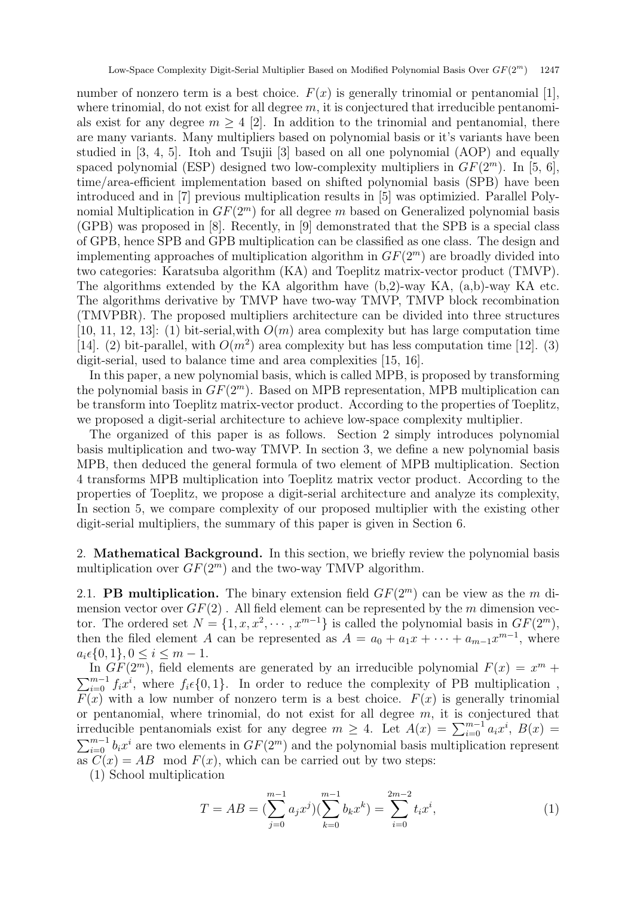number of nonzero term is a best choice.  $F(x)$  is generally trinomial or pentanomial [1], where trinomial, do not exist for all degree  $m$ , it is conjectured that irreducible pentanomials exist for any degree  $m \geq 4$  [2]. In addition to the trinomial and pentanomial, there are many variants. Many multipliers based on polynomial basis or it's variants have been studied in  $[3, 4, 5]$ . Itoh and Tsujii  $[3]$  based on all one polynomial  $(AOP)$  and equally spaced polynomial (ESP) designed two low-complexity multipliers in  $GF(2<sup>m</sup>)$ . In [5, 6], time/area-efficient implementation based on shifted polynomial basis (SPB) have been introduced and in [7] previous multiplication results in [5] was optimizied. Parallel Polynomial Multiplication in  $GF(2<sup>m</sup>)$  for all degree m based on Generalized polynomial basis (GPB) was proposed in [8]. Recently, in [9] demonstrated that the SPB is a special class of GPB, hence SPB and GPB multiplication can be classified as one class. The design and implementing approaches of multiplication algorithm in  $GF(2<sup>m</sup>)$  are broadly divided into two categories: Karatsuba algorithm (KA) and Toeplitz matrix-vector product (TMVP). The algorithms extended by the KA algorithm have (b,2)-way KA, (a,b)-way KA etc. The algorithms derivative by TMVP have two-way TMVP, TMVP block recombination (TMVPBR). The proposed multipliers architecture can be divided into three structures [10, 11, 12, 13]: (1) bit-serial, with  $O(m)$  area complexity but has large computation time [14]. (2) bit-parallel, with  $O(m^2)$  area complexity but has less computation time [12]. (3) digit-serial, used to balance time and area complexities [15, 16].

In this paper, a new polynomial basis, which is called MPB, is proposed by transforming the polynomial basis in  $GF(2<sup>m</sup>)$ . Based on MPB representation, MPB multiplication can be transform into Toeplitz matrix-vector product. According to the properties of Toeplitz, we proposed a digit-serial architecture to achieve low-space complexity multiplier.

The organized of this paper is as follows. Section 2 simply introduces polynomial basis multiplication and two-way TMVP. In section 3, we define a new polynomial basis MPB, then deduced the general formula of two element of MPB multiplication. Section 4 transforms MPB multiplication into Toeplitz matrix vector product. According to the properties of Toeplitz, we propose a digit-serial architecture and analyze its complexity, In section 5, we compare complexity of our proposed multiplier with the existing other digit-serial multipliers, the summary of this paper is given in Section 6.

2. Mathematical Background. In this section, we briefly review the polynomial basis multiplication over  $GF(2^m)$  and the two-way TMVP algorithm.

2.1. **PB multiplication.** The binary extension field  $GF(2<sup>m</sup>)$  can be view as the m dimension vector over  $GF(2)$ . All field element can be represented by the m dimension vector. The ordered set  $N = \{1, x, x^2, \dots, x^{m-1}\}\$ is called the polynomial basis in  $GF(2^m)$ , then the filed element A can be represented as  $A = a_0 + a_1x + \cdots + a_{m-1}x^{m-1}$ , where  $a_i \in \{0, 1\}, 0 \leq i \leq m-1.$ 

In  $GF(2^m)$ , field elements are generated by an irreducible polynomial  $F(x) = x^m +$  $\sum_{i=0}^{m-1} f_i x^i$ , where  $f_i \in \{0, 1\}$ . In order to reduce the complexity of PB multiplication,  $F(x)$  with a low number of nonzero term is a best choice.  $F(x)$  is generally trinomial or pentanomial, where trinomial, do not exist for all degree  $m$ , it is conjectured that irreducible pentanomials exist for any degree  $m \geq 4$ . Let  $A(x) = \sum_{i=0}^{m-1} a_i x^i$ ,  $B(x) =$  $\sum_{i=0}^{m-1} b_i x^i$  are two elements in  $GF(2^m)$  and the polynomial basis multiplication represent as  $C(x) = AB \mod F(x)$ , which can be carried out by two steps:

(1) School multiplication

$$
T = AB = \left(\sum_{j=0}^{m-1} a_j x^j\right) \left(\sum_{k=0}^{m-1} b_k x^k\right) = \sum_{i=0}^{2m-2} t_i x^i,\tag{1}
$$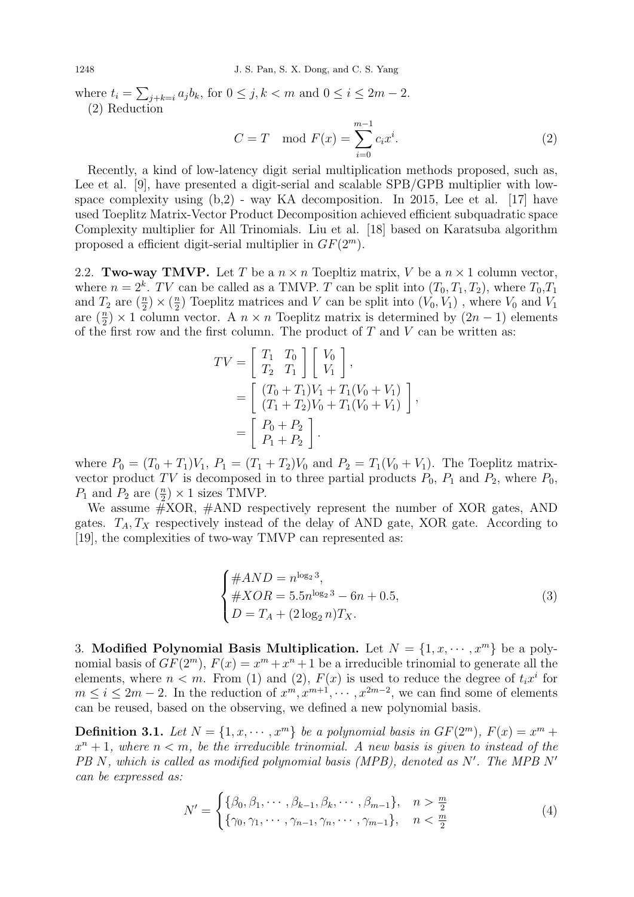1248 J. S. Pan, S. X. Dong, and C. S. Yang

where  $t_i = \sum_{j+k=i} a_j b_k$ , for  $0 \le j, k < m$  and  $0 \le i \le 2m-2$ . (2) Reduction

$$
C = T \mod F(x) = \sum_{i=0}^{m-1} c_i x^i.
$$
 (2)

Recently, a kind of low-latency digit serial multiplication methods proposed, such as, Lee et al. [9], have presented a digit-serial and scalable SPB/GPB multiplier with lowspace complexity using (b,2) - way KA decomposition. In 2015, Lee et al. [17] have used Toeplitz Matrix-Vector Product Decomposition achieved efficient subquadratic space Complexity multiplier for All Trinomials. Liu et al. [18] based on Karatsuba algorithm proposed a efficient digit-serial multiplier in  $GF(2<sup>m</sup>)$ .

2.2. Two-way TMVP. Let T be a  $n \times n$  Toepltiz matrix, V be a  $n \times 1$  column vector, where  $n = 2^k$ . TV can be called as a TMVP. T can be split into  $(T_0, T_1, T_2)$ , where  $T_0, T_1$ and  $T_2$  are  $(\frac{n}{2}) \times (\frac{n}{2})$  $\frac{n}{2}$ ) Toeplitz matrices and V can be split into  $(V_0, V_1)$ , where  $V_0$  and  $V_1$ are  $(\frac{n}{2}) \times 1$  column vector. A  $n \times n$  Toeplitz matrix is determined by  $(2n-1)$  elements of the first row and the first column. The product of  $T$  and  $V$  can be written as:

$$
TV = \begin{bmatrix} T_1 & T_0 \\ T_2 & T_1 \end{bmatrix} \begin{bmatrix} V_0 \\ V_1 \end{bmatrix},
$$
  
= 
$$
\begin{bmatrix} (T_0 + T_1)V_1 + T_1(V_0 + V_1) \\ (T_1 + T_2)V_0 + T_1(V_0 + V_1) \end{bmatrix},
$$
  
= 
$$
\begin{bmatrix} P_0 + P_2 \\ P_1 + P_2 \end{bmatrix}.
$$

where  $P_0 = (T_0 + T_1)V_1$ ,  $P_1 = (T_1 + T_2)V_0$  and  $P_2 = T_1(V_0 + V_1)$ . The Toeplitz matrixvector product TV is decomposed in to three partial products  $P_0$ ,  $P_1$  and  $P_2$ , where  $P_0$ ,  $P_1$  and  $P_2$  are  $(\frac{n}{2}) \times 1$  sizes TMVP.

We assume #XOR, #AND respectively represent the number of XOR gates, AND gates.  $T_A, T_X$  respectively instead of the delay of AND gate, XOR gate. According to [19], the complexities of two-way TMVP can represented as:

$$
\begin{cases}\n\#AND = n^{\log_2 3}, \\
\#XOR = 5.5n^{\log_2 3} - 6n + 0.5, \\
D = T_A + (2\log_2 n)T_X.\n\end{cases}
$$
\n(3)

3. Modified Polynomial Basis Multiplication. Let  $N = \{1, x, \dots, x^m\}$  be a polynomial basis of  $GF(2^m)$ ,  $F(x) = x^m + x^n + 1$  be a irreducible trinomial to generate all the elements, where  $n < m$ . From (1) and (2),  $F(x)$  is used to reduce the degree of  $t_i x^i$  for  $m \leq i \leq 2m-2$ . In the reduction of  $x^m, x^{m+1}, \dots, x^{2m-2}$ , we can find some of elements can be reused, based on the observing, we defined a new polynomial basis.

**Definition 3.1.** Let  $N = \{1, x, \dots, x^m\}$  be a polynomial basis in  $GF(2^m)$ ,  $F(x) = x^m +$  $x^{n}+1$ , where  $n < m$ , be the irreducible trinomial. A new basis is given to instead of the  $PB\ N$ , which is called as modified polynomial basis (MPB), denoted as  $N'$ . The MPB  $N'$ can be expressed as:

$$
N' = \begin{cases} \{\beta_0, \beta_1, \cdots, \beta_{k-1}, \beta_k, \cdots, \beta_{m-1}\}, & n > \frac{m}{2} \\ \{\gamma_0, \gamma_1, \cdots, \gamma_{n-1}, \gamma_n, \cdots, \gamma_{m-1}\}, & n < \frac{m}{2} \end{cases}
$$
(4)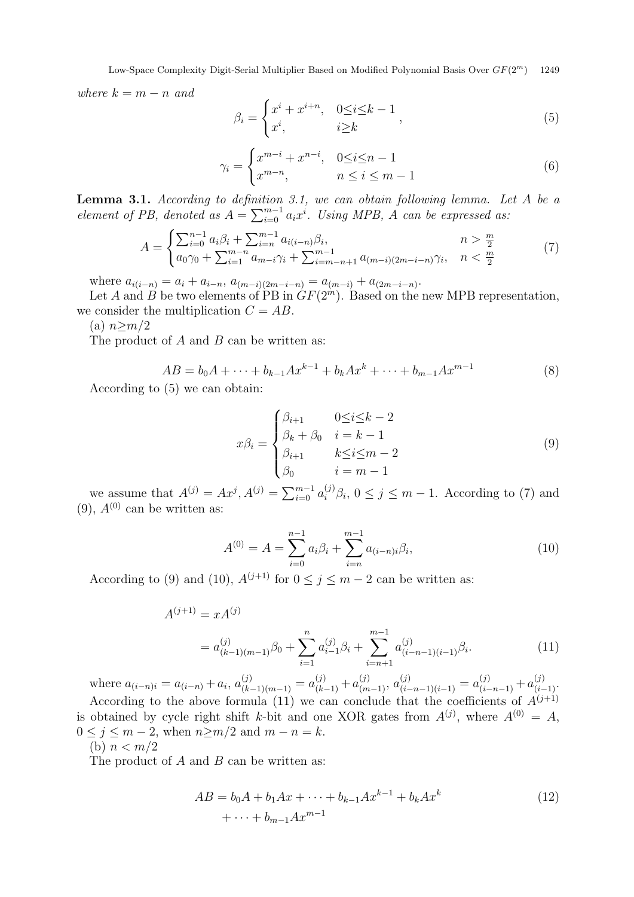Low-Space Complexity Digit-Serial Multiplier Based on Modified Polynomial Basis Over  $GF(2^m)$  1249

where  $k = m - n$  and

$$
\beta_i = \begin{cases} x^i + x^{i+n}, & 0 \le i \le k-1 \\ x^i, & i \ge k \end{cases} \tag{5}
$$

$$
\gamma_i = \begin{cases} x^{m-i} + x^{n-i}, & 0 \le i \le n-1 \\ x^{m-n}, & n \le i \le m-1 \end{cases} \tag{6}
$$

Lemma 3.1. According to definition 3.1, we can obtain following lemma. Let A be a element of PB, denoted as  $A = \sum_{i=0}^{m-1} a_i x^i$ . Using MPB, A can be expressed as:

$$
A = \begin{cases} \sum_{i=0}^{n-1} a_i \beta_i + \sum_{i=n}^{m-1} a_{i(i-n)} \beta_i, & n > \frac{m}{2} \\ a_0 \gamma_0 + \sum_{i=1}^{m-n} a_{m-i} \gamma_i + \sum_{i=m-n+1}^{m-1} a_{(m-i)(2m-i-n)} \gamma_i, & n < \frac{m}{2} \end{cases}
$$
(7)

where  $a_{i(i-n)} = a_i + a_{i-n}, a_{(m-i)(2m-i-n)} = a_{(m-i)} + a_{(2m-i-n)}.$ 

Let A and B be two elements of PB in  $GF(2^m)$ . Based on the new MPB representation, we consider the multiplication  $C = AB$ .

(a)  $n \geq m/2$ 

The product of A and B can be written as:

$$
AB = b_0 A + \dots + b_{k-1} A x^{k-1} + b_k A x^k + \dots + b_{m-1} A x^{m-1}
$$
\n<sup>(8)</sup>

According to (5) we can obtain:

$$
x\beta_i = \begin{cases} \beta_{i+1} & 0 \le i \le k-2 \\ \beta_k + \beta_0 & i = k-1 \\ \beta_{i+1} & k \le i \le m-2 \\ \beta_0 & i = m-1 \end{cases}
$$
 (9)

we assume that  $A^{(j)} = Ax^j, A^{(j)} = \sum_{i=0}^{m-1} a_i^{(j)} \beta_i, 0 \le j \le m-1$ . According to (7) and  $(9)$ ,  $A^{(0)}$  can be written as:

$$
A^{(0)} = A = \sum_{i=0}^{n-1} a_i \beta_i + \sum_{i=n}^{m-1} a_{(i-n)i} \beta_i,
$$
\n(10)

According to (9) and (10),  $A^{(j+1)}$  for  $0 \le j \le m-2$  can be written as:

$$
A^{(j+1)} = xA^{(j)}
$$
  
=  $a_{(k-1)(m-1)}^{(j)}\beta_0 + \sum_{i=1}^n a_{i-1}^{(j)}\beta_i + \sum_{i=n+1}^{m-1} a_{(i-n-1)(i-1)}^{(j)}\beta_i.$  (11)

where  $a_{(i-n)i} = a_{(i-n)} + a_i$ ,  $a_{(k-1)(m-1)}^{(j)} = a_{(k-1)}^{(j)} + a_{(m-1)}^{(j)}$ ,  $a_{(i-n-1)(i-1)}^{(j)} = a_{(i-n-1)}^{(j)} + a_{(i-1)}^{(j)}$ . According to the above formula (11) we can conclude that the coefficients of  $A^{(j+1)}$ is obtained by cycle right shift k-bit and one XOR gates from  $A^{(j)}$ , where  $A^{(0)} = A$ ,  $0 \leq j \leq m-2$ , when  $n>m/2$  and  $m-n=k$ . (b)  $n < m/2$ 

The product of  $A$  and  $B$  can be written as:

$$
AB = b_0A + b_1Ax + \dots + b_{k-1}Ax^{k-1} + b_kAx^k
$$
  
+  $\dots + b_{m-1}Ax^{m-1}$  (12)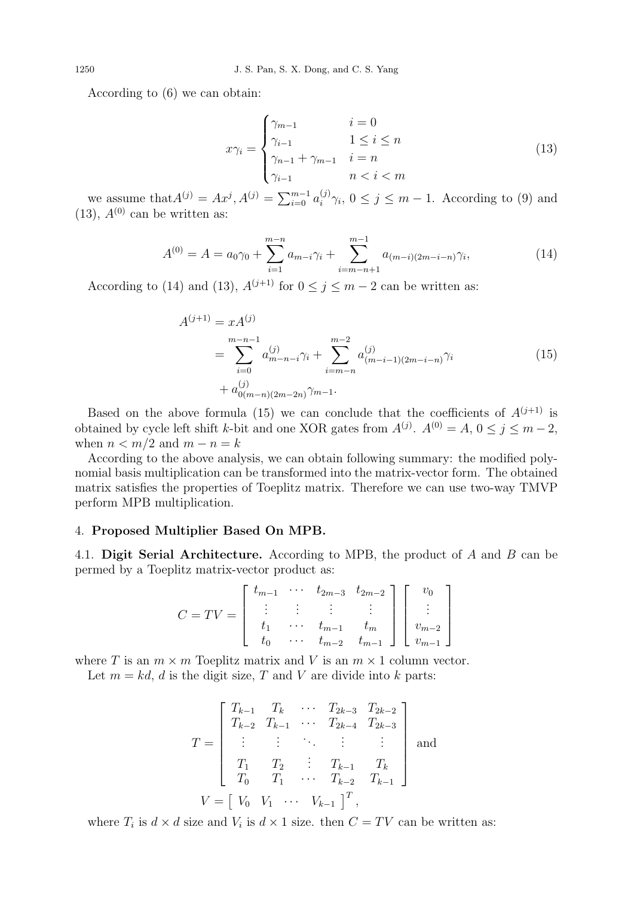According to (6) we can obtain:

$$
x\gamma_i = \begin{cases} \gamma_{m-1} & i = 0\\ \gamma_{i-1} & 1 \le i \le n\\ \gamma_{n-1} + \gamma_{m-1} & i = n\\ \gamma_{i-1} & n < i < m \end{cases}
$$
(13)

we assume that  $A^{(j)} = Ax^j, A^{(j)} = \sum_{i=0}^{m-1} a_i^{(j)}$  $j_i^{(j)}\gamma_i$ ,  $0 \leq j \leq m-1$ . According to (9) and  $(13)$ ,  $A^{(0)}$  can be written as:

$$
A^{(0)} = A = a_0 \gamma_0 + \sum_{i=1}^{m-n} a_{m-i} \gamma_i + \sum_{i=m-n+1}^{m-1} a_{(m-i)(2m-i-n)} \gamma_i,
$$
\n(14)

According to (14) and (13),  $A^{(j+1)}$  for  $0 \le j \le m-2$  can be written as:

$$
A^{(j+1)} = x A^{(j)}
$$
  
= 
$$
\sum_{i=0}^{m-n-1} a_{m-n-i}^{(j)} \gamma_i + \sum_{i=m-n}^{m-2} a_{(m-i-1)(2m-i-n)}^{(j)} \gamma_i
$$
  
+ 
$$
a_{0(m-n)(2m-2n)}^{(j)} \gamma_{m-1}.
$$
 (15)

Based on the above formula (15) we can conclude that the coefficients of  $A^{(j+1)}$  is obtained by cycle left shift k-bit and one XOR gates from  $A^{(j)}$ .  $A^{(0)} = A$ ,  $0 \le j \le m-2$ , when  $n < m/2$  and  $m - n = k$ 

According to the above analysis, we can obtain following summary: the modified polynomial basis multiplication can be transformed into the matrix-vector form. The obtained matrix satisfies the properties of Toeplitz matrix. Therefore we can use two-way TMVP perform MPB multiplication.

## 4. Proposed Multiplier Based On MPB.

4.1. Digit Serial Architecture. According to MPB, the product of A and B can be permed by a Toeplitz matrix-vector product as:

$$
C = TV = \begin{bmatrix} t_{m-1} & \cdots & t_{2m-3} & t_{2m-2} \\ \vdots & \vdots & \vdots & \vdots \\ t_1 & \cdots & t_{m-1} & t_m \\ t_0 & \cdots & t_{m-2} & t_{m-1} \end{bmatrix} \begin{bmatrix} v_0 \\ \vdots \\ v_{m-2} \\ v_{m-1} \end{bmatrix}
$$

where T is an  $m \times m$  Toeplitz matrix and V is an  $m \times 1$  column vector.

Let  $m = kd$ , d is the digit size, T and V are divide into k parts:

$$
T = \begin{bmatrix} T_{k-1} & T_k & \cdots & T_{2k-3} & T_{2k-2} \\ T_{k-2} & T_{k-1} & \cdots & T_{2k-4} & T_{2k-3} \\ \vdots & \vdots & \ddots & \vdots & \vdots \\ T_1 & T_2 & \vdots & T_{k-1} & T_k \\ T_0 & T_1 & \cdots & T_{k-2} & T_{k-1} \end{bmatrix}
$$
 and 
$$
V = \begin{bmatrix} V_0 & V_1 & \cdots & V_{k-1} \end{bmatrix}^T,
$$

where  $T_i$  is  $d \times d$  size and  $V_i$  is  $d \times 1$  size. then  $C = TV$  can be written as: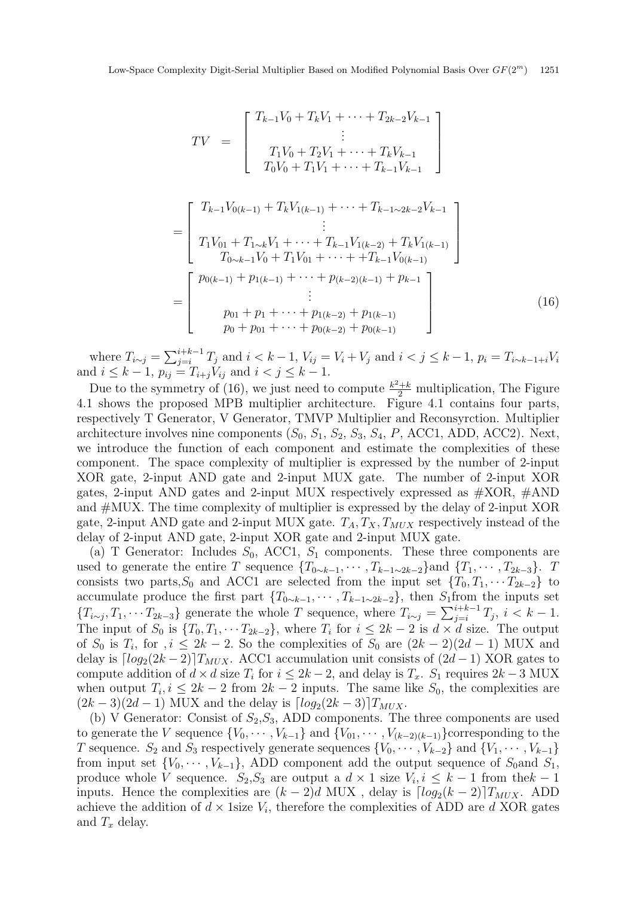$$
TV = \begin{bmatrix} T_{k-1}V_0 + T_kV_1 + \dots + T_{2k-2}V_{k-1} \\ \vdots \\ T_1V_0 + T_2V_1 + \dots + T_kV_{k-1} \\ T_0V_0 + T_1V_1 + \dots + T_{k-1}V_{k-1} \end{bmatrix}
$$
  
= 
$$
\begin{bmatrix} T_{k-1}V_{0(k-1)} + T_kV_{1(k-1)} + \dots + T_{k-1}V_{k-1} \\ \vdots \\ T_1V_{01} + T_{1\sim k}V_1 + \dots + T_{k-1}V_{1(k-2)} + T_kV_{1(k-1)} \\ T_{0\sim k-1}V_0 + T_1V_{01} + \dots + T_{k-1}V_{0(k-1)} \end{bmatrix}
$$
  
= 
$$
\begin{bmatrix} p_{0(k-1)} + p_{1(k-1)} + \dots + p_{(k-2)(k-1)} + p_{k-1} \\ \vdots \\ p_{01} + p_1 + \dots + p_{1(k-2)} + p_{1(k-1)} \\ p_0 + p_{01} + \dots + p_{0(k-2)} + p_{0(k-1)} \end{bmatrix}
$$
(16)

where  $T_{i \sim j} = \sum_{j=i}^{i+k-1} T_j$  and  $i < k-1$ ,  $V_{ij} = V_i + V_j$  and  $i < j \le k-1$ ,  $p_i = T_{i \sim k-1+i} V_i$ and  $i \leq k - 1$ ,  $p_{ij} = T_{i+j}V_{ij}$  and  $i < j \leq k - 1$ .

Due to the symmetry of (16), we just need to compute  $\frac{k^2+k}{2}$  multiplication, The Figure 4.1 shows the proposed MPB multiplier architecture. Figure 4.1 contains four parts, respectively T Generator, V Generator, TMVP Multiplier and Reconsyrction. Multiplier architecture involves nine components  $(S_0, S_1, S_2, S_3, S_4, P, ACC1, ADD, ACC2)$ . Next, we introduce the function of each component and estimate the complexities of these component. The space complexity of multiplier is expressed by the number of 2-input XOR gate, 2-input AND gate and 2-input MUX gate. The number of 2-input XOR gates, 2-input AND gates and 2-input MUX respectively expressed as  $\#XOR$ ,  $\#AND$ and #MUX. The time complexity of multiplier is expressed by the delay of 2-input XOR gate, 2-input AND gate and 2-input MUX gate.  $T_A, T_X, T_{MUX}$  respectively instead of the delay of 2-input AND gate, 2-input XOR gate and 2-input MUX gate.

(a) T Generator: Includes  $S_0$ , ACC1,  $S_1$  components. These three components are used to generate the entire T sequence  $\{T_{0\sim k-1}, \cdots, T_{k-1\sim 2k-2}\}\$ and  $\{T_1, \cdots, T_{2k-3}\}$ . T consists two parts,  $S_0$  and ACC1 are selected from the input set  $\{T_0, T_1, \cdots T_{2k-2}\}\)$  to accumulate produce the first part  $\{T_{0\sim k-1}, \cdots, T_{k-1\sim 2k-2}\}\$ , then S<sub>1</sub>from the inputs set  ${T_{i \sim j}, T_1, \cdots T_{2k-3}}$  generate the whole T sequence, where  $T_{i \sim j} = \sum_{j=i}^{i+k-1} T_j$ ,  $i < k-1$ . The input of  $S_0$  is  $\{T_0, T_1, \cdots T_{2k-2}\}\$ , where  $T_i$  for  $i \leq 2k-2$  is  $d \times d$  size. The output of  $S_0$  is  $T_i$ , for  $i \leq 2k-2$ . So the complexities of  $S_0$  are  $(2k-2)(2d-1)$  MUX and delay is  $\lceil log_2(2k-2) \rceil T_{MUX}$ . ACC1 accumulation unit consists of  $(2d-1)$  XOR gates to compute addition of  $d \times d$  size  $T_i$  for  $i \leq 2k - 2$ , and delay is  $T_x$ .  $S_1$  requires  $2k - 3$  MUX when output  $T_i, i \leq 2k-2$  from  $2k-2$  inputs. The same like  $S_0$ , the complexities are  $(2k-3)(2d-1)$  MUX and the delay is  $\lceil log_2(2k-3) \rceil T_{MUX}$ .

(b) V Generator: Consist of  $S_2, S_3$ , ADD components. The three components are used to generate the V sequence  $\{V_0, \dots, V_{k-1}\}\$  and  $\{V_{01}, \dots, V_{(k-2)(k-1)}\}\$ corresponding to the T sequence.  $S_2$  and  $S_3$  respectively generate sequences  $\{V_0, \dots, V_{k-2}\}\$  and  $\{V_1, \dots, V_{k-1}\}\$ from input set  ${V_0, \dots, V_{k-1}}$ , ADD component add the output sequence of  $S_0$  and  $S_1$ , produce whole V sequence.  $S_2, S_3$  are output a  $d \times 1$  size  $V_i, i \leq k-1$  from the  $k-1$ inputs. Hence the complexities are  $(k-2)d$  MUX, delay is  $\lceil log_2(k-2) \rceil T_{MUX}$ . ADD achieve the addition of  $d \times 1$ size  $V_i$ , therefore the complexities of ADD are d XOR gates and  $T_x$  delay.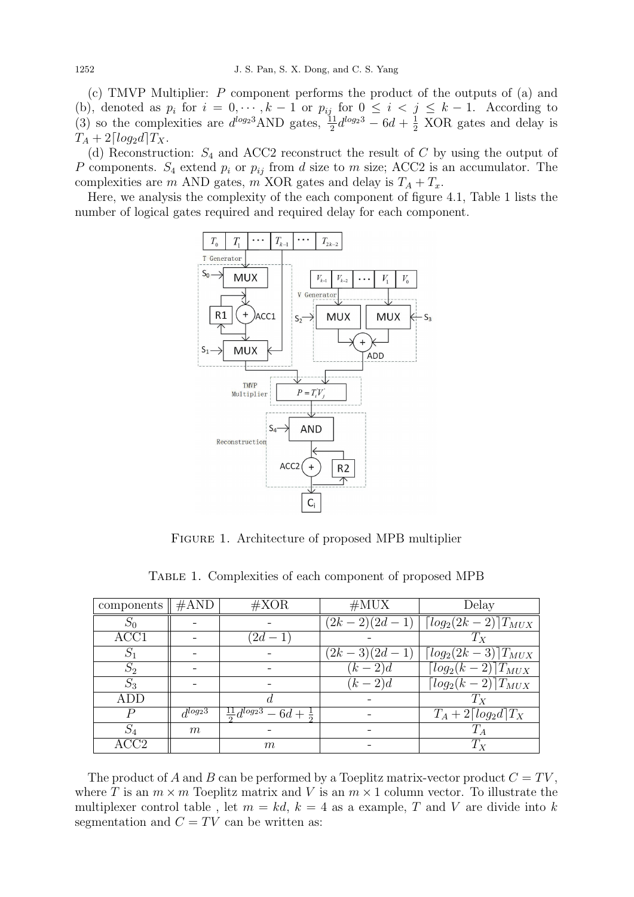(c) TMVP Multiplier: P component performs the product of the outputs of (a) and (b), denoted as  $p_i$  for  $i = 0, \dots, k-1$  or  $p_{ij}$  for  $0 \leq i \leq j \leq k-1$ . According to (3) so the complexities are  $d^{log_2 3}$ AND gates,  $\frac{11}{2}d^{log_2 3} - 6d + \frac{1}{2}$  XOR gates and delay is  $T_A + 2\left[\log_2 d\right]T_X$ .

(d) Reconstruction:  $S_4$  and ACC2 reconstruct the result of C by using the output of P components.  $S_4$  extend  $p_i$  or  $p_{ij}$  from d size to m size; ACC2 is an accumulator. The complexities are m AND gates, m XOR gates and delay is  $T_A + T_x$ .

Here, we analysis the complexity of the each component of figure 4.1, Table 1 lists the number of logical gates required and required delay for each component.



Figure 1. Architecture of proposed MPB multiplier

| components       | $\#\text{AND}$ | $\#\text{XOR}$                               | #MUX           | Delay                                              |
|------------------|----------------|----------------------------------------------|----------------|----------------------------------------------------|
| $S_0$            |                |                                              |                | $(2k-2)(2d-1)$ $\lceil log_2(2k-2) \rceil T_{MUX}$ |
| ACC1             |                | $(2d - 1)$                                   |                | $T_X$                                              |
| $S_1$            |                |                                              | $(2k-3)(2d-1)$ | $\lceil log_2(2k-3)\rceil T_{MUX}$                 |
| $S_2$            |                |                                              | $(k-2)d$       | $\lceil log_2(k-2) \rceil T_{MUX}$                 |
| $S_3$            |                |                                              | $(k-2)d$       | $\lceil log_2(k-2) \rceil T_{MUX}$                 |
| ADD              |                |                                              |                | $T_{X}$                                            |
| $\boldsymbol{P}$ | $d^{log_23}$   | $\frac{11}{2}d^{log_2 3} - 6d + \frac{1}{2}$ |                | $T_A + 2 \lceil log_2 d \rceil T_X$                |
| $S_4$            | m              |                                              |                | $T_A$                                              |
| ACC <sub>2</sub> |                | m                                            |                | $T_X$                                              |

TABLE 1. Complexities of each component of proposed MPB

The product of A and B can be performed by a Toeplitz matrix-vector product  $C = TV$ , where T is an  $m \times m$  Toeplitz matrix and V is an  $m \times 1$  column vector. To illustrate the multiplexer control table, let  $m = kd$ ,  $k = 4$  as a example, T and V are divide into k segmentation and  $C = TV$  can be written as: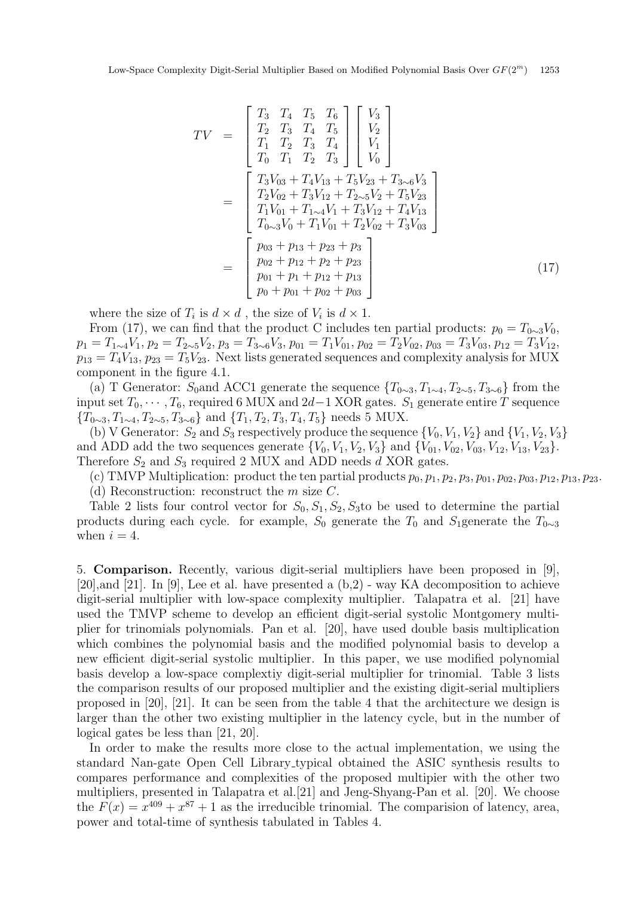$$
TV = \begin{bmatrix} T_3 & T_4 & T_5 & T_6 \ T_2 & T_3 & T_4 & T_5 \ T_1 & T_2 & T_3 & T_4 \ T_0 & T_1 & T_2 & T_3 \end{bmatrix} \begin{bmatrix} V_3 \\ V_2 \\ V_1 \\ V_0 \end{bmatrix}
$$
  
= 
$$
\begin{bmatrix} T_3V_{03} + T_4V_{13} + T_5V_{23} + T_{3\sim 6}V_3 \\ T_2V_{02} + T_3V_{12} + T_{2\sim 5}V_2 + T_5V_{23} \\ T_1V_{01} + T_{1\sim 4}V_1 + T_3V_{12} + T_4V_{13} \\ T_{0\sim 3}V_0 + T_1V_{01} + T_2V_{02} + T_3V_{03} \end{bmatrix}
$$
  
= 
$$
\begin{bmatrix} p_{03} + p_{13} + p_{23} + p_3 \\ p_{02} + p_{12} + p_2 + p_{23} \\ p_{01} + p_1 + p_{12} + p_{13} \\ p_0 + p_{01} + p_{02} + p_{03} \end{bmatrix}
$$
(17)

where the size of  $T_i$  is  $d \times d$ , the size of  $V_i$  is  $d \times 1$ .

From (17), we can find that the product C includes ten partial products:  $p_0 = T_{0\sim 3}V_0$ ,  $p_1 = T_{1\sim 4}V_1, p_2 = T_{2\sim 5}V_2, p_3 = T_{3\sim 6}V_3, p_{01} = T_1V_{01}, p_{02} = T_2V_{02}, p_{03} = T_3V_{03}, p_{12} = T_3V_{12},$  $p_{13} = T_4V_{13}, p_{23} = T_5V_{23}$ . Next lists generated sequences and complexity analysis for MUX component in the figure 4.1.

(a) T Generator: S<sub>0</sub>and ACC1 generate the sequence  $\{T_{0\sim 3}, T_{1\sim 4}, T_{2\sim 5}, T_{3\sim 6}\}\$  from the input set  $T_0, \dots, T_6$ , required 6 MUX and 2d−1 XOR gates.  $S_1$  generate entire T sequence  ${T_{0\sim 3}, T_{1\sim 4}, T_{2\sim 5}, T_{3\sim 6}}$  and  ${T_1, T_2, T_3, T_4, T_5}$  needs 5 MUX.

(b) V Generator:  $S_2$  and  $S_3$  respectively produce the sequence  $\{V_0, V_1, V_2\}$  and  $\{V_1, V_2, V_3\}$ and ADD add the two sequences generate  $\{V_0, V_1, V_2, V_3\}$  and  $\{V_{01}, V_{02}, V_{03}, V_{12}, V_{13}, V_{23}\}.$ Therefore  $S_2$  and  $S_3$  required 2 MUX and ADD needs d XOR gates.

(c) TMVP Multiplication: product the ten partial products  $p_0, p_1, p_2, p_3, p_{01}, p_{02}, p_{03}, p_{12}, p_{13}, p_{23}.$ 

(d) Reconstruction: reconstruct the  $m$  size  $C$ .

Table 2 lists four control vector for  $S_0, S_1, S_2, S_3$  to be used to determine the partial products during each cycle. for example,  $S_0$  generate the  $T_0$  and  $S_1$ generate the  $T_{0\sim 3}$ when  $i = 4$ .

5. Comparison. Recently, various digit-serial multipliers have been proposed in [9], [20],and [21]. In [9], Lee et al. have presented a (b,2) - way KA decomposition to achieve digit-serial multiplier with low-space complexity multiplier. Talapatra et al. [21] have used the TMVP scheme to develop an efficient digit-serial systolic Montgomery multiplier for trinomials polynomials. Pan et al. [20], have used double basis multiplication which combines the polynomial basis and the modified polynomial basis to develop a new efficient digit-serial systolic multiplier. In this paper, we use modified polynomial basis develop a low-space complextiy digit-serial multiplier for trinomial. Table 3 lists the comparison results of our proposed multiplier and the existing digit-serial multipliers proposed in [20], [21]. It can be seen from the table 4 that the architecture we design is larger than the other two existing multiplier in the latency cycle, but in the number of logical gates be less than [21, 20].

In order to make the results more close to the actual implementation, we using the standard Nan-gate Open Cell Library typical obtained the ASIC synthesis results to compares performance and complexities of the proposed multipier with the other two multipliers, presented in Talapatra et al.[21] and Jeng-Shyang-Pan et al. [20]. We choose the  $F(x) = x^{409} + x^{87} + 1$  as the irreducible trinomial. The comparision of latency, area, power and total-time of synthesis tabulated in Tables 4.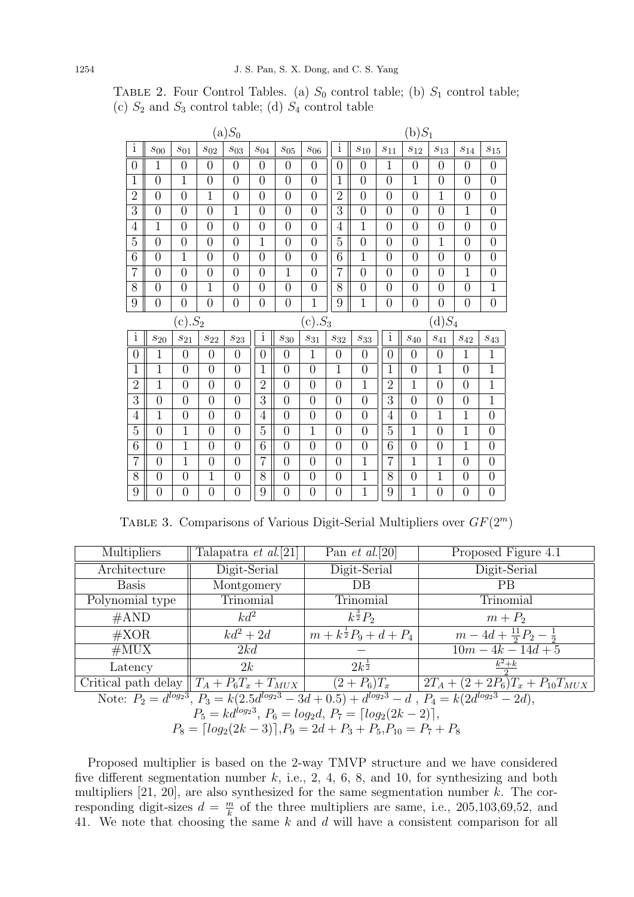| $(a)S_0$                |                    |                |                |                    |                | $(b)S_1$                         |                  |                 |                                |                 |                                    |                                |                     |                                    |
|-------------------------|--------------------|----------------|----------------|--------------------|----------------|----------------------------------|------------------|-----------------|--------------------------------|-----------------|------------------------------------|--------------------------------|---------------------|------------------------------------|
| $\overline{\mathbf{i}}$ | $\mathcal{S}_{00}$ | $s_{01}$       | $S_{02}$       | $s_{03}$           | $S_{04}$       | $S_{05}$                         | $S_{06}$         | $\rm i$         | $s_{10}$                       | $\sqrt{s_{11}}$ | $s_{12}$                           | $\sqrt{s_{13}}$                | $\sqrt{s_{14}}$     | $s_{15}$                           |
| $\overline{0}$          | 1                  | $\overline{0}$ | $\overline{0}$ | $\overline{0}$     | $\overline{0}$ | $\overline{0}$                   | $\overline{0}$   | $\overline{0}$  | $\overline{0}$                 | $\mathbf{1}$    | $\overline{0}$                     | $\overline{0}$                 | $\theta$            | $\overline{0}$                     |
| $\mathbf{1}$            | $\overline{0}$     | $\mathbf{1}$   | $\overline{0}$ | $\overline{0}$     | $\overline{0}$ | $\overline{0}$                   | $\overline{0}$   | $\mathbf{1}$    | $\overline{0}$                 | $\overline{0}$  | $\mathbf{1}$                       | $\overline{0}$                 | $\overline{0}$      | $\boldsymbol{0}$                   |
| $\overline{2}$          | $\overline{0}$     | $\overline{0}$ | $\mathbf{1}$   | $\overline{0}$     | $\overline{0}$ | $\overline{0}$                   | $\overline{0}$   | $\overline{2}$  | $\overline{0}$                 | $\overline{0}$  | $\overline{0}$                     | $\mathbf{1}$                   | $\overline{0}$      | $\overline{0}$                     |
| $\overline{3}$          | $\overline{0}$     | $\overline{0}$ | $\overline{0}$ | $\overline{1}$     | $\overline{0}$ | $\overline{0}$                   | $\overline{0}$   | 3               | $\overline{0}$                 | $\overline{0}$  | $\overline{0}$                     | $\overline{0}$                 | $\overline{1}$      | $\overline{0}$                     |
| $\overline{4}$          | $\mathbf 1$        | $\overline{0}$ | $\overline{0}$ | $\overline{0}$     | $\overline{0}$ | $\overline{0}$                   | $\overline{0}$   | $\overline{4}$  | $\overline{1}$                 | $\overline{0}$  | $\overline{0}$                     | $\overline{0}$                 | $\overline{0}$      | $\overline{0}$                     |
| $\overline{5}$          | $\overline{0}$     | $\overline{0}$ | $\overline{0}$ | $\overline{0}$     | $\mathbf{1}$   | $\overline{0}$                   | $\overline{0}$   | $\overline{5}$  | $\overline{0}$                 | $\overline{0}$  | $\overline{0}$                     | $\mathbf{1}$                   | $\overline{0}$      | $\boldsymbol{0}$                   |
| 6                       | $\overline{0}$     | $\mathbf{1}$   | $\overline{0}$ | $\overline{0}$     | $\overline{0}$ | $\overline{0}$                   | $\overline{0}$   | 6               | $\mathbf{1}$                   | $\overline{0}$  | $\overline{0}$                     | $\overline{0}$                 | $\overline{0}$      | $\overline{0}$                     |
| 7                       | $\overline{0}$     | $\overline{0}$ | $\overline{0}$ | $\overline{0}$     | $\overline{0}$ | $\overline{1}$                   | $\overline{0}$   | $\overline{7}$  | $\overline{0}$                 | $\overline{0}$  | $\overline{0}$                     | $\overline{0}$                 | $\overline{1}$      | $\boldsymbol{0}$                   |
| 8                       | $\overline{0}$     | $\overline{0}$ | $\mathbf{1}$   | $\overline{0}$     | $\overline{0}$ | $\overline{0}$                   | $\overline{0}$   | 8               | $\overline{0}$                 | $\overline{0}$  | $\overline{0}$                     | $\overline{0}$                 | $\overline{0}$      | $\overline{1}$                     |
| 9                       | $\overline{0}$     | $\overline{0}$ | $\overline{0}$ | $\overline{0}$     | $\overline{0}$ | $\overline{0}$                   | $\mathbf{1}$     | 9               | $\mathbf{1}$                   | $\overline{0}$  | $\overline{0}$                     | $\overline{0}$                 | $\overline{0}$      | $\boldsymbol{0}$                   |
| $(c).S_2$<br>$(c).S_3$  |                    |                |                |                    |                |                                  |                  |                 |                                |                 |                                    |                                |                     |                                    |
|                         |                    |                |                |                    |                |                                  |                  |                 |                                |                 |                                    | $(d)S_4$                       |                     |                                    |
| $\overline{\mathbf{i}}$ | $\mathcal{S}_{20}$ | $s_{21}$       | $s_{22}$       | $\mathcal{S}_{23}$ | $\rm i$        | $\sqrt{s_{30}}$                  | $s_{31}$         | $\sqrt{S_{32}}$ | $\sqrt{S_{33}}$                | $\rm i$         | $\sqrt{s_{40}}$                    | $\sqrt{s_{41}}$                | $\mathfrak{s}_{42}$ | $\mathcal{S}_{43}$                 |
| $\boldsymbol{0}$        | $\mathbf 1$        | $\overline{0}$ | $\overline{0}$ | $\overline{0}$     | $\overline{0}$ | $\overline{0}$                   | $\mathbf{1}$     | $\overline{0}$  | $\overline{0}$                 | $\overline{0}$  | $\overline{0}$                     | $\overline{0}$                 | $\mathbf{1}$        | $\mathbf{1}$                       |
| 1                       | $\mathbf{1}$       | $\overline{0}$ | $\overline{0}$ | $\overline{0}$     | $\mathbf{1}$   | $\overline{0}$                   | $\overline{0}$   | $\mathbf{1}$    | $\overline{0}$                 | $\mathbf{1}$    | $\overline{0}$                     | $\mathbf{1}$                   | $\overline{0}$      | $\mathbf{1}$                       |
| $\overline{2}$          | $\mathbf 1$        | $\overline{0}$ | $\overline{0}$ | $\overline{0}$     | $\overline{2}$ | $\overline{0}$                   | $\overline{0}$   | $\overline{0}$  | $\mathbf{1}$                   | $\overline{2}$  | $\mathbf{1}$                       | $\overline{0}$                 | $\overline{0}$      | $\overline{1}$                     |
| $\overline{3}$          | $\overline{0}$     | $\overline{0}$ | $\overline{0}$ | $\overline{0}$     | 3              | $\overline{0}$                   | $\overline{0}$   | $\overline{0}$  | $\overline{0}$                 | $\overline{3}$  | $\overline{0}$                     | $\overline{0}$                 | $\overline{0}$      | $\overline{1}$                     |
| $\overline{4}$          | $\overline{1}$     | $\overline{0}$ | $\overline{0}$ | $\overline{0}$     | $\overline{4}$ | $\overline{0}$                   | $\overline{0}$   | $\overline{0}$  | $\overline{0}$                 | $\overline{4}$  | $\overline{0}$                     | $\overline{1}$                 | $\overline{1}$      | $\overline{0}$                     |
| $\overline{5}$          | $\overline{0}$     | $\mathbf{1}$   | $\overline{0}$ | $\overline{0}$     | $\overline{5}$ | $\overline{0}$                   | $\mathbf{1}$     | $\overline{0}$  | $\overline{0}$                 | $\overline{5}$  | $\mathbf{1}$                       | $\overline{0}$                 | $\mathbf{1}$        | $\overline{0}$                     |
| 6                       | $\overline{0}$     | $\overline{1}$ | $\overline{0}$ | $\overline{0}$     | 6              | $\overline{0}$                   | $\overline{0}$   | $\overline{0}$  | $\overline{0}$                 | 6               | $\overline{0}$                     | $\overline{0}$                 | $\mathbf 1$         | $\overline{0}$                     |
| 7                       | $\overline{0}$     | $\overline{1}$ | $\overline{0}$ | $\overline{0}$     | $\overline{7}$ | $\overline{0}$                   | $\overline{0}$   | $\overline{0}$  | $\overline{1}$                 | $\overline{7}$  | $\overline{1}$                     | $\overline{1}$                 | $\overline{0}$      | $\boldsymbol{0}$                   |
| 8                       | $\overline{0}$     | $\overline{0}$ | $\mathbf{1}$   | $\overline{0}$     | 8              | $\overline{0}$<br>$\overline{0}$ | $\boldsymbol{0}$ | $\overline{0}$  | $\mathbf{1}$<br>$\overline{1}$ | 8               | $\boldsymbol{0}$<br>$\overline{1}$ | $\mathbf{1}$<br>$\overline{0}$ | $\overline{0}$      | $\boldsymbol{0}$<br>$\overline{0}$ |

TABLE 2. Four Control Tables. (a)  $S_0$  control table; (b)  $S_1$  control table; (c)  $S_2$  and  $S_3$  control table; (d)  $S_4$  control table

TABLE 3. Comparisons of Various Digit-Serial Multipliers over  $GF(2<sup>m</sup>)$ 

| <b>Multipliers</b>                                                                                                      | Talapatra et al.[21]                         | Pan <i>et al.</i> [20]             | Proposed Figure 4.1                    |  |  |  |  |  |
|-------------------------------------------------------------------------------------------------------------------------|----------------------------------------------|------------------------------------|----------------------------------------|--|--|--|--|--|
| Architecture                                                                                                            | Digit-Serial                                 | Digit-Serial                       | Digit-Serial                           |  |  |  |  |  |
| <b>Basis</b>                                                                                                            | Montgomery                                   | $DB$                               | <b>PB</b>                              |  |  |  |  |  |
| Polynomial type                                                                                                         | Trinomial                                    | Trinomial                          | Trinomial                              |  |  |  |  |  |
| #AND                                                                                                                    | $kd^2$                                       | $k^{\frac{3}{2}}P_2$               | $m + P_2$                              |  |  |  |  |  |
| $\#\text{XOR}$                                                                                                          | $kd^2+2d$                                    | $m + k^{\frac{1}{2}}P_9 + d + P_4$ | $m-4d+\frac{11}{2}P_2-\frac{1}{2}$     |  |  |  |  |  |
| #MUX                                                                                                                    | 2kd                                          |                                    | $10m - 4k - 14d + 5$                   |  |  |  |  |  |
| Latency                                                                                                                 | 2k                                           | $2k^{\frac{1}{2}}$                 | $k^2+k$                                |  |  |  |  |  |
|                                                                                                                         | Critical path delay $T_A + P_6T_x + T_{MUX}$ | $(2+P_6)T_x$                       | $2T_A + (2 + 2P_6)T_x + P_{10}T_{MUX}$ |  |  |  |  |  |
| Note: $P_2 = d^{\log_2 3}$ , $P_3 = k(2.5d^{\log_2 3} - 3d + 0.5) + d^{\log_2 3} - d$ , $P_4 = k(2d^{\log_2 3} - 2d)$ , |                                              |                                    |                                        |  |  |  |  |  |
| $P_5 = kd^{log_23}, P_6 = log_2d, P_7 = \lceil log_2(2k - 2) \rceil,$                                                   |                                              |                                    |                                        |  |  |  |  |  |
| $P_8 = \left[ log_2(2k-3) \right], P_9 = 2d + P_3 + P_5, P_{10} = P_7 + P_8$                                            |                                              |                                    |                                        |  |  |  |  |  |

Proposed multiplier is based on the 2-way TMVP structure and we have considered five different segmentation number  $k$ , i.e., 2, 4, 6, 8, and 10, for synthesizing and both multipliers  $[21, 20]$ , are also synthesized for the same segmentation number k. The corresponding digit-sizes  $d = \frac{m}{k}$  $\frac{m}{k}$  of the three multipliers are same, i.e., 205,103,69,52, and 41. We note that choosing the same k and d will have a consistent comparison for all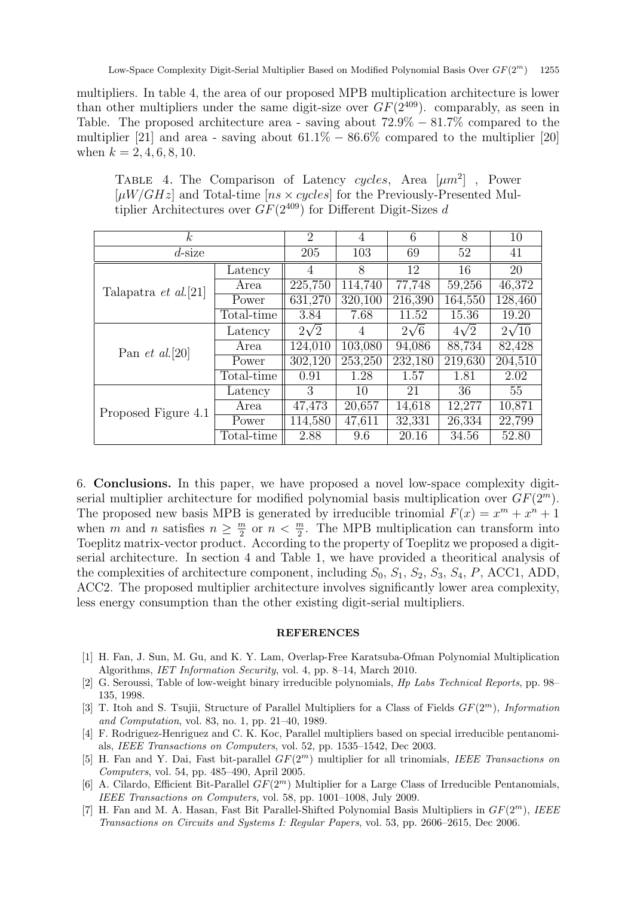multipliers. In table 4, the area of our proposed MPB multiplication architecture is lower than other multipliers under the same digit-size over  $GF(2^{409})$ . comparably, as seen in Table. The proposed architecture area - saving about  $72.9\% - 81.7\%$  compared to the multiplier [21] and area - saving about  $61.1\% - 86.6\%$  compared to the multiplier [20] when  $k = 2, 4, 6, 8, 10$ .

| TABLE 4. The Comparison of Latency cycles, Area $[\mu m^2]$ , Power                 |
|-------------------------------------------------------------------------------------|
| $[\mu W/GHz]$ and Total-time $[ns \times cycles]$ for the Previously-Presented Mul- |
| tiplier Architectures over $GF(2^{409})$ for Different Digit-Sizes d                |
|                                                                                     |

| $\kappa$                     | 2          | 4           | 6       | 8           | 10          |              |
|------------------------------|------------|-------------|---------|-------------|-------------|--------------|
| $d$ -size                    | 205        | 103         | 69      | 52          | 41          |              |
|                              | Latency    | 4           | 8       | 12          | 16          | 20           |
| Talapatra <i>et al.</i> [21] | Area       | 225,750     | 114,740 | 77,748      | 59,256      | 46,372       |
|                              | Power      | 631,270     | 320,100 | 216,390     | 164,550     | 128,460      |
|                              | Total-time | 3.84        | 7.68    | 11.52       | 15.36       | 19.20        |
|                              | Latency    | $2\sqrt{2}$ | 4       | $2\sqrt{6}$ | $4\sqrt{2}$ | $2\sqrt{10}$ |
| Pan <i>et al.</i> [20]       | Area       | 124,010     | 103,080 | 94,086      | 88,734      | 82,428       |
|                              | Power      | 302,120     | 253,250 | 232,180     | 219,630     | 204,510      |
|                              | Total-time | 0.91        | 1.28    | 1.57        | 1.81        | 2.02         |
|                              | Latency    | 3           | 10      | 21          | 36          | 55           |
| Proposed Figure 4.1          | Area       | 47,473      | 20,657  | 14,618      | 12,277      | 10,871       |
|                              | Power      | 114,580     | 47,611  | 32,331      | 26,334      | 22,799       |
|                              | Total-time | 2.88        | 9.6     | 20.16       | 34.56       | 52.80        |

6. Conclusions. In this paper, we have proposed a novel low-space complexity digitserial multiplier architecture for modified polynomial basis multiplication over  $GF(2<sup>m</sup>)$ . The proposed new basis MPB is generated by irreducible trinomial  $F(x) = x^m + x^n + 1$ when m and n satisfies  $n \geq \frac{m}{2}$  $\frac{m}{2}$  or  $n < \frac{m}{2}$ . The MPB multiplication can transform into Toeplitz matrix-vector product. According to the property of Toeplitz we proposed a digitserial architecture. In section 4 and Table 1, we have provided a theoritical analysis of the complexities of architecture component, including  $S_0$ ,  $S_1$ ,  $S_2$ ,  $S_3$ ,  $S_4$ ,  $P$ , ACC1, ADD, ACC2. The proposed multiplier architecture involves significantly lower area complexity, less energy consumption than the other existing digit-serial multipliers.

## **REFERENCES**

- [1] H. Fan, J. Sun, M. Gu, and K. Y. Lam, Overlap-Free Karatsuba-Ofman Polynomial Multiplication Algorithms, IET Information Security, vol. 4, pp. 8–14, March 2010.
- [2] G. Seroussi, Table of low-weight binary irreducible polynomials, Hp Labs Technical Reports, pp. 98– 135, 1998.
- [3] T. Itoh and S. Tsujii, Structure of Parallel Multipliers for a Class of Fields  $GF(2^m)$ , Information and Computation, vol. 83, no. 1, pp. 21–40, 1989.
- [4] F. Rodriguez-Henriguez and C. K. Koc, Parallel multipliers based on special irreducible pentanomials, IEEE Transactions on Computers, vol. 52, pp. 1535–1542, Dec 2003.
- [5] H. Fan and Y. Dai, Fast bit-parallel  $GF(2<sup>m</sup>)$  multiplier for all trinomials, IEEE Transactions on Computers, vol. 54, pp. 485–490, April 2005.
- [6] A. Cilardo, Efficient Bit-Parallel  $GF(2<sup>m</sup>)$  Multiplier for a Large Class of Irreducible Pentanomials, IEEE Transactions on Computers, vol. 58, pp. 1001–1008, July 2009.
- [7] H. Fan and M. A. Hasan, Fast Bit Parallel-Shifted Polynomial Basis Multipliers in  $GF(2<sup>m</sup>)$ , IEEE Transactions on Circuits and Systems I: Regular Papers, vol. 53, pp. 2606–2615, Dec 2006.